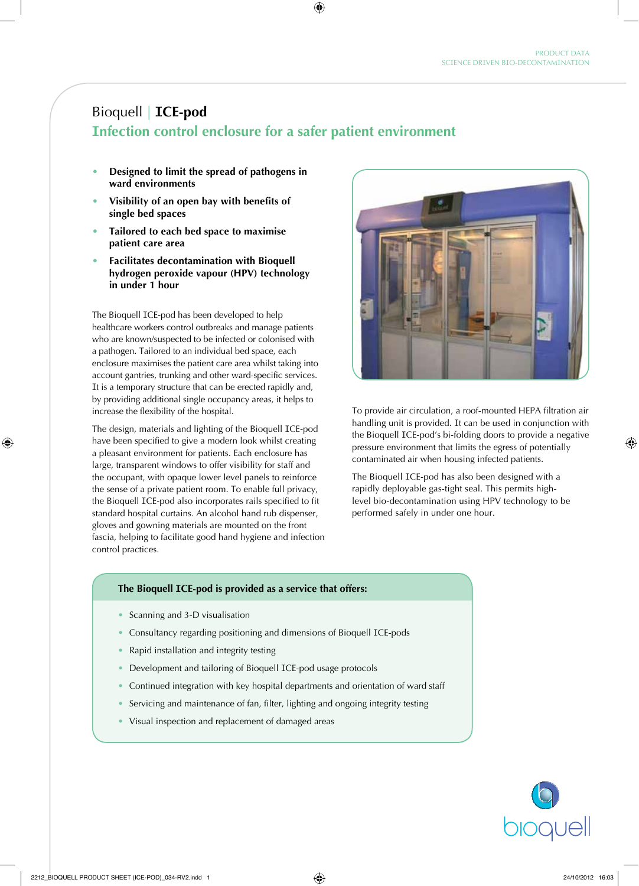# Bioquell | **ICE-pod**

# **Infection control enclosure for a safer patient environment**

- **• Designed to limit the spread of pathogens in ward environments**
- **• Visibility of an open bay with benefits of single bed spaces**
- **• Tailored to each bed space to maximise patient care area**
- **• Facilitates decontamination with Bioquell hydrogen peroxide vapour (HPV) technology in under 1 hour**

The Bioquell ICE-pod has been developed to help healthcare workers control outbreaks and manage patients who are known/suspected to be infected or colonised with a pathogen. Tailored to an individual bed space, each enclosure maximises the patient care area whilst taking into account gantries, trunking and other ward-specific services. It is a temporary structure that can be erected rapidly and, by providing additional single occupancy areas, it helps to increase the flexibility of the hospital.

The design, materials and lighting of the Bioquell ICE-pod have been specified to give a modern look whilst creating a pleasant environment for patients. Each enclosure has large, transparent windows to offer visibility for staff and the occupant, with opaque lower level panels to reinforce the sense of a private patient room. To enable full privacy, the Bioquell ICE-pod also incorporates rails specified to fit standard hospital curtains. An alcohol hand rub dispenser, gloves and gowning materials are mounted on the front fascia, helping to facilitate good hand hygiene and infection control practices.



To provide air circulation, a roof-mounted HEPA filtration air handling unit is provided. It can be used in conjunction with the Bioquell ICE-pod's bi-folding doors to provide a negative pressure environment that limits the egress of potentially contaminated air when housing infected patients.

The Bioquell ICE-pod has also been designed with a rapidly deployable gas-tight seal. This permits highlevel bio-decontamination using HPV technology to be performed safely in under one hour.

#### **The Bioquell ICE-pod is provided as a service that offers:**

- Scanning and 3-D visualisation
- Consultancy regarding positioning and dimensions of Bioquell ICE-pods
- Rapid installation and integrity testing
- Development and tailoring of Bioquell ICE-pod usage protocols
- Continued integration with key hospital departments and orientation of ward staff
- Servicing and maintenance of fan, filter, lighting and ongoing integrity testing
- Visual inspection and replacement of damaged areas